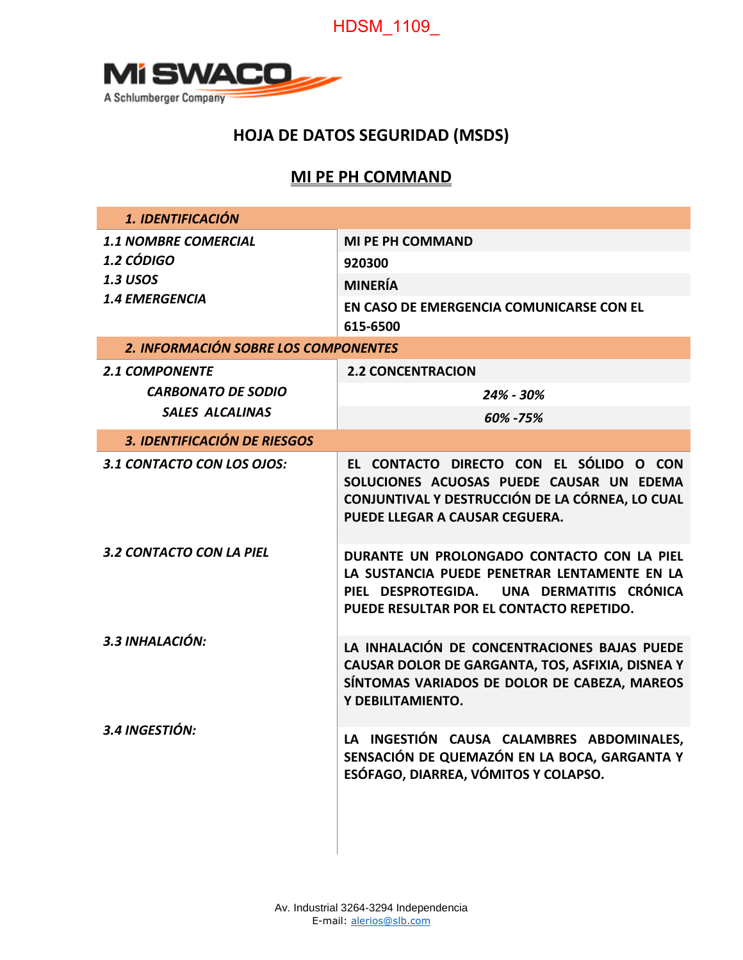# HDSM\_1109\_



## **HOJA DE DATOS SEGURIDAD (MSDS)**

## **MI PE PH COMMAND**

| 1. IDENTIFICACIÓN                                                   |                                                                                                                                                                                     |  |
|---------------------------------------------------------------------|-------------------------------------------------------------------------------------------------------------------------------------------------------------------------------------|--|
| <b>1.1 NOMBRE COMERCIAL</b><br><b>1.2 CÓDIGO</b><br><b>1.3 USOS</b> | <b>MI PE PH COMMAND</b>                                                                                                                                                             |  |
|                                                                     | 920300                                                                                                                                                                              |  |
|                                                                     | <b>MINERÍA</b>                                                                                                                                                                      |  |
| <b>1.4 EMERGENCIA</b>                                               | EN CASO DE EMERGENCIA COMUNICARSE CON EL<br>615-6500                                                                                                                                |  |
| 2. INFORMACIÓN SOBRE LOS COMPONENTES                                |                                                                                                                                                                                     |  |
| <b>2.1 COMPONENTE</b>                                               | <b>2.2 CONCENTRACION</b>                                                                                                                                                            |  |
| <b>CARBONATO DE SODIO</b>                                           | 24% - 30%                                                                                                                                                                           |  |
| <b>SALES ALCALINAS</b>                                              | 60% - 75%                                                                                                                                                                           |  |
| <b>3. IDENTIFICACIÓN DE RIESGOS</b>                                 |                                                                                                                                                                                     |  |
| 3.1 CONTACTO CON LOS OJOS:                                          | EL CONTACTO DIRECTO CON EL SÓLIDO O CON<br>SOLUCIONES ACUOSAS PUEDE CAUSAR UN EDEMA<br>CONJUNTIVAL Y DESTRUCCIÓN DE LA CÓRNEA, LO CUAL<br>PUEDE LLEGAR A CAUSAR CEGUERA.            |  |
| <b>3.2 CONTACTO CON LA PIEL</b>                                     | DURANTE UN PROLONGADO CONTACTO CON LA PIEL<br>LA SUSTANCIA PUEDE PENETRAR LENTAMENTE EN LA<br>PIEL DESPROTEGIDA. UNA DERMATITIS CRÓNICA<br>PUEDE RESULTAR POR EL CONTACTO REPETIDO. |  |
| 3.3 INHALACIÓN:                                                     | LA INHALACIÓN DE CONCENTRACIONES BAJAS PUEDE<br>CAUSAR DOLOR DE GARGANTA, TOS, ASFIXIA, DISNEA Y<br>SÍNTOMAS VARIADOS DE DOLOR DE CABEZA, MAREOS<br>Y DEBILITAMIENTO.               |  |
| 3.4 INGESTIÓN:                                                      | LA INGESTIÓN CAUSA CALAMBRES ABDOMINALES,<br>SENSACIÓN DE QUEMAZÓN EN LA BOCA, GARGANTA Y<br>ESÓFAGO, DIARREA, VÓMITOS Y COLAPSO.                                                   |  |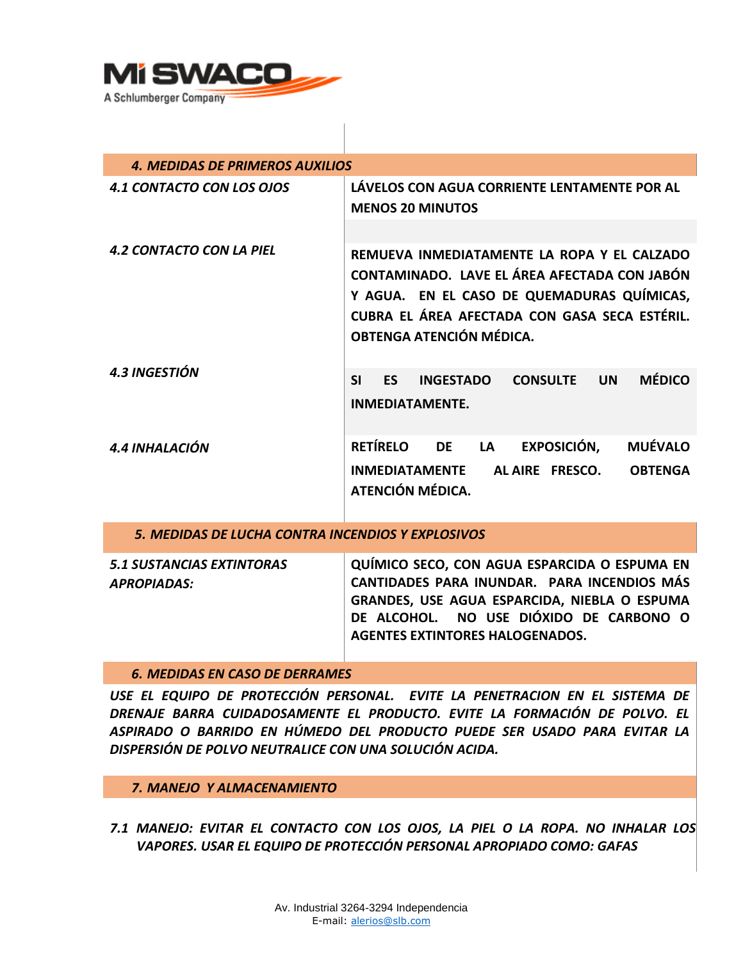

| <b>4. MEDIDAS DE PRIMEROS AUXILIOS</b>            |                                                                                                                                                                                                                        |  |  |
|---------------------------------------------------|------------------------------------------------------------------------------------------------------------------------------------------------------------------------------------------------------------------------|--|--|
| <b>4.1 CONTACTO CON LOS OJOS</b>                  | LÁVELOS CON AGUA CORRIENTE LENTAMENTE POR AL<br><b>MENOS 20 MINUTOS</b>                                                                                                                                                |  |  |
|                                                   |                                                                                                                                                                                                                        |  |  |
| <b>4.2 CONTACTO CON LA PIEL</b>                   | REMUEVA INMEDIATAMENTE LA ROPA Y EL CALZADO<br>CONTAMINADO. LAVE EL ÁREA AFECTADA CON JABÓN<br>Y AGUA. EN EL CASO DE QUEMADURAS QUÍMICAS,<br>CUBRA EL ÁREA AFECTADA CON GASA SECA ESTÉRIL.<br>OBTENGA ATENCIÓN MÉDICA. |  |  |
| <b>4.3 INGESTIÓN</b>                              | <b>MÉDICO</b><br><b>SI</b><br><b>ES</b><br><b>INGESTADO</b><br><b>CONSULTE</b><br><b>UN</b><br><b>INMEDIATAMENTE.</b>                                                                                                  |  |  |
| 4.4 INHALACIÓN                                    | RETÍRELO DE LA<br><b>EXPOSICIÓN,</b><br><b>MUÉVALO</b><br><b>INMEDIATAMENTE</b><br>AL AIRE FRESCO.<br><b>OBTENGA</b><br>ATENCIÓN MÉDICA.                                                                               |  |  |
| 5. MEDIDAS DE LUCHA CONTRA INCENDIOS Y EXPLOSIVOS |                                                                                                                                                                                                                        |  |  |
| <b>5.1 SUSTANCIAS EXTINTORAS</b>                  | QUÍMICO SECO, CON AGUA ESPARCIDA O ESPUMA EN                                                                                                                                                                           |  |  |

*APROPIADAS:*  **QUÍMICO SECO, CON AGUA ESPARCIDA O ESPUMA EN CANTIDADES PARA INUNDAR. PARA INCENDIOS MÁS GRANDES, USE AGUA ESPARCIDA, NIEBLA O ESPUMA DE ALCOHOL. NO USE DIÓXIDO DE CARBONO O AGENTES EXTINTORES HALOGENADOS.** 

## *6. MEDIDAS EN CASO DE DERRAMES*

*USE EL EQUIPO DE PROTECCIÓN PERSONAL. EVITE LA PENETRACION EN EL SISTEMA DE DRENAJE BARRA CUIDADOSAMENTE EL PRODUCTO. EVITE LA FORMACIÓN DE POLVO. EL ASPIRADO O BARRIDO EN HÚMEDO DEL PRODUCTO PUEDE SER USADO PARA EVITAR LA DISPERSIÓN DE POLVO NEUTRALICE CON UNA SOLUCIÓN ACIDA.* 

#### *7. MANEJO Y ALMACENAMIENTO*

*7.1 MANEJO: EVITAR EL CONTACTO CON LOS OJOS, LA PIEL O LA ROPA. NO INHALAR LOS VAPORES. USAR EL EQUIPO DE PROTECCIÓN PERSONAL APROPIADO COMO: GAFAS*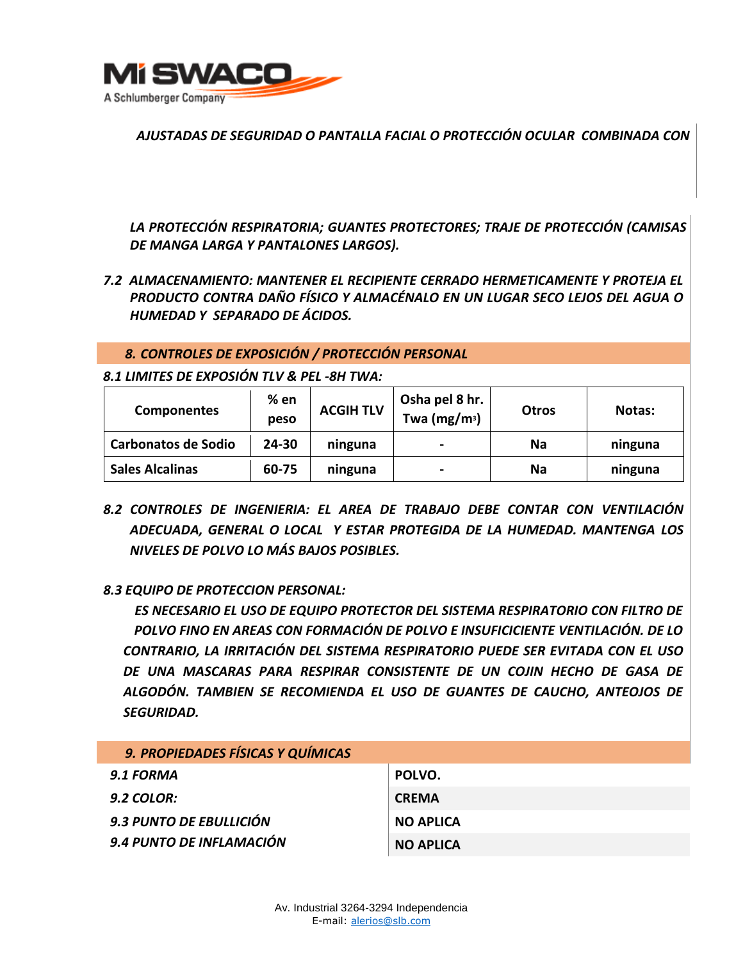

*AJUSTADAS DE SEGURIDAD O PANTALLA FACIAL O PROTECCIÓN OCULAR COMBINADA CON* 

*LA PROTECCIÓN RESPIRATORIA; GUANTES PROTECTORES; TRAJE DE PROTECCIÓN (CAMISAS DE MANGA LARGA Y PANTALONES LARGOS).* 

*7.2 ALMACENAMIENTO: MANTENER EL RECIPIENTE CERRADO HERMETICAMENTE Y PROTEJA EL PRODUCTO CONTRA DAÑO FÍSICO Y ALMACÉNALO EN UN LUGAR SECO LEJOS DEL AGUA O HUMEDAD Y SEPARADO DE ÁCIDOS.* 

## *8. CONTROLES DE EXPOSICIÓN / PROTECCIÓN PERSONAL*

*8.1 LIMITES DE EXPOSIÓN TLV & PEL -8H TWA:* 

| <b>Componentes</b>         | % en<br>peso | <b>ACGIH TLV</b> | Osha pel 8 hr.<br>Twa ( $mg/m^3$ ) | <b>Otros</b> | Notas:  |
|----------------------------|--------------|------------------|------------------------------------|--------------|---------|
| <b>Carbonatos de Sodio</b> | 24-30        | ninguna          | $\blacksquare$                     | <b>Na</b>    | ninguna |
| <b>Sales Alcalinas</b>     | 60-75        | ninguna          | $\blacksquare$                     | Na           | ninguna |

*8.2 CONTROLES DE INGENIERIA: EL AREA DE TRABAJO DEBE CONTAR CON VENTILACIÓN ADECUADA, GENERAL O LOCAL Y ESTAR PROTEGIDA DE LA HUMEDAD. MANTENGA LOS NIVELES DE POLVO LO MÁS BAJOS POSIBLES.* 

## *8.3 EQUIPO DE PROTECCION PERSONAL:*

*ES NECESARIO EL USO DE EQUIPO PROTECTOR DEL SISTEMA RESPIRATORIO CON FILTRO DE POLVO FINO EN AREAS CON FORMACIÓN DE POLVO E INSUFICICIENTE VENTILACIÓN. DE LO CONTRARIO, LA IRRITACIÓN DEL SISTEMA RESPIRATORIO PUEDE SER EVITADA CON EL USO DE UNA MASCARAS PARA RESPIRAR CONSISTENTE DE UN COJIN HECHO DE GASA DE ALGODÓN. TAMBIEN SE RECOMIENDA EL USO DE GUANTES DE CAUCHO, ANTEOJOS DE SEGURIDAD.* 

| 9. PROPIEDADES FÍSICAS Y QUÍMICAS |                  |
|-----------------------------------|------------------|
| 9.1 FORMA                         | POLVO.           |
| $9.2$ COLOR:                      | <b>CREMA</b>     |
| 9.3 PUNTO DE EBULLICIÓN           | <b>NO APLICA</b> |
| 9.4 PUNTO DE INFLAMACIÓN          | <b>NO APLICA</b> |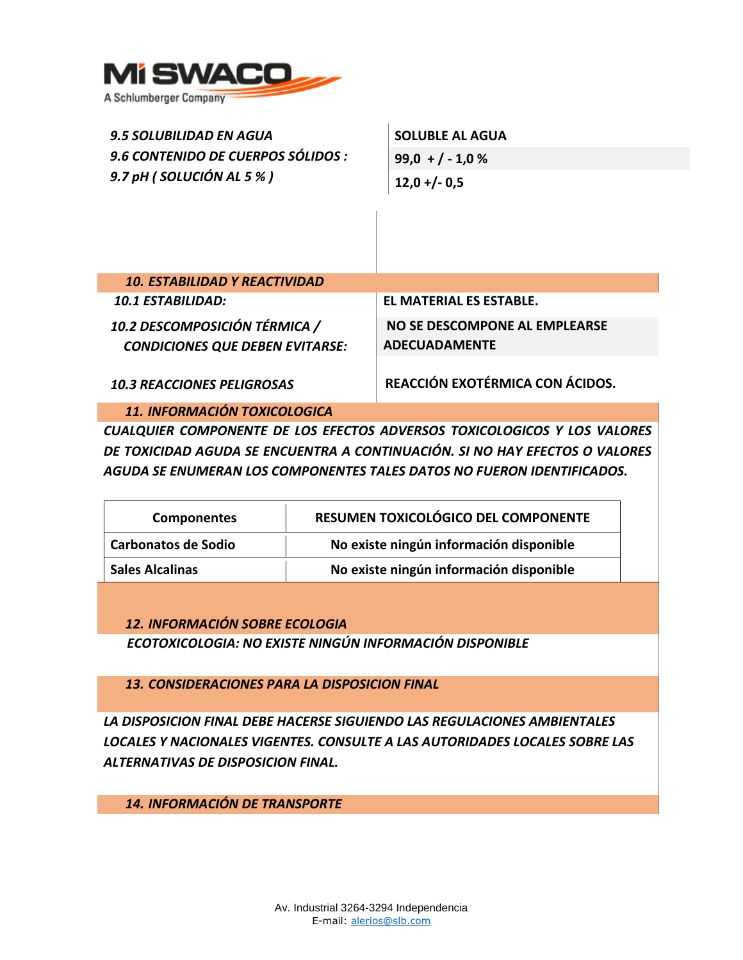

| <b>9.5 SOLUBILIDAD EN AGUA</b><br>9.6 CONTENIDO DE CUERPOS SÓLIDOS :<br>9.7 pH (SOLUCIÓN AL 5 %) | <b>SOLUBLE AL AGUA</b><br>$99,0 + (-1,0%)$            |  |
|--------------------------------------------------------------------------------------------------|-------------------------------------------------------|--|
|                                                                                                  | $12,0 + (-0.5)$                                       |  |
|                                                                                                  |                                                       |  |
| <b>10. ESTABILIDAD Y REACTIVIDAD</b>                                                             |                                                       |  |
| <b>10.1 ESTABILIDAD:</b>                                                                         | EL MATERIAL ES ESTABLE.                               |  |
| 10.2 DESCOMPOSICIÓN TÉRMICA /<br><b>CONDICIONES QUE DEBEN EVITARSE:</b>                          | NO SE DESCOMPONE AL EMPLEARSE<br><b>ADECUADAMENTE</b> |  |
| <b>10.3 REACCIONES PELIGROSAS</b>                                                                | REACCIÓN EXOTÉRMICA CON ÁCIDOS.                       |  |
| 11. INFORMACIÓN TOXICOLOGICA                                                                     |                                                       |  |

*CUALQUIER COMPONENTE DE LOS EFECTOS ADVERSOS TOXICOLOGICOS Y LOS VALORES DE TOXICIDAD AGUDA SE ENCUENTRA A CONTINUACIÓN. SI NO HAY EFECTOS O VALORES AGUDA SE ENUMERAN LOS COMPONENTES TALES DATOS NO FUERON IDENTIFICADOS.* 

| <b>Componentes</b>         | RESUMEN TOXICOLÓGICO DEL COMPONENTE     |  |
|----------------------------|-----------------------------------------|--|
| <b>Carbonatos de Sodio</b> | No existe ningún información disponible |  |
| <b>Sales Alcalinas</b>     | No existe ningún información disponible |  |

*12. INFORMACIÓN SOBRE ECOLOGIA ECOTOXICOLOGIA: NO EXISTE NINGÚN INFORMACIÓN DISPONIBLE* 

*13. CONSIDERACIONES PARA LA DISPOSICION FINAL* 

*LA DISPOSICION FINAL DEBE HACERSE SIGUIENDO LAS REGULACIONES AMBIENTALES LOCALES Y NACIONALES VIGENTES. CONSULTE A LAS AUTORIDADES LOCALES SOBRE LAS ALTERNATIVAS DE DISPOSICION FINAL.* 

*14. INFORMACIÓN DE TRANSPORTE*